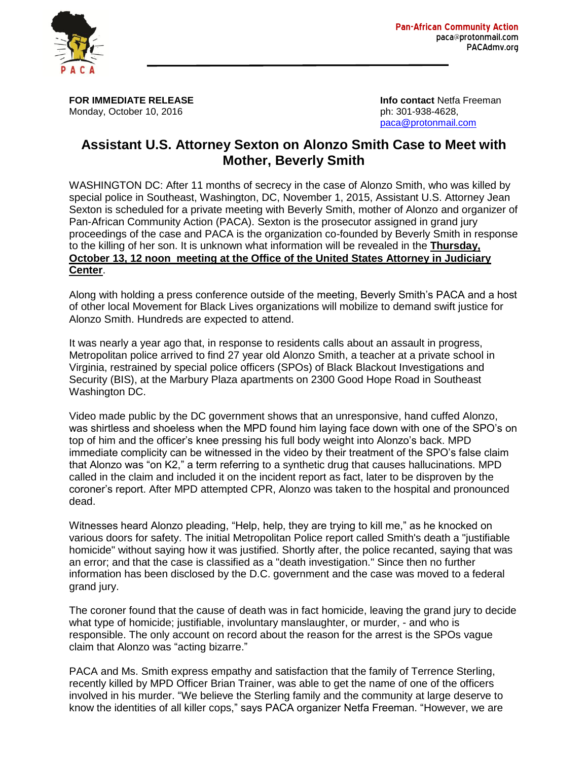

**FOR IMMEDIATE RELEASE Info contact** Netfa Freeman Monday, October 10, 2016 **philosopher 2016** ph: 301-938-4628,

[paca@protonmail.com](mailto:paca@protonmail.com)

## **Assistant U.S. Attorney Sexton on Alonzo Smith Case to Meet with Mother, Beverly Smith**

WASHINGTON DC: After 11 months of secrecy in the case of Alonzo Smith, who was killed by special police in Southeast, Washington, DC, November 1, 2015, Assistant U.S. Attorney Jean Sexton is scheduled for a private meeting with Beverly Smith, mother of Alonzo and organizer of Pan-African Community Action (PACA). Sexton is the prosecutor assigned in grand jury proceedings of the case and PACA is the organization co-founded by Beverly Smith in response to the killing of her son. It is unknown what information will be revealed in the **Thursday, October 13, 12 noon meeting at the Office of the United States Attorney in Judiciary Center**.

Along with holding a press conference outside of the meeting, Beverly Smith's PACA and a host of other local Movement for Black Lives organizations will mobilize to demand swift justice for Alonzo Smith. Hundreds are expected to attend.

It was nearly a year ago that, in response to residents calls about an assault in progress, Metropolitan police arrived to find 27 year old Alonzo Smith, a teacher at a private school in Virginia, restrained by special police officers (SPOs) of Black Blackout Investigations and Security (BIS), at the Marbury Plaza apartments on 2300 Good Hope Road in Southeast Washington DC.

Video made public by the DC government shows that an unresponsive, hand cuffed Alonzo, was shirtless and shoeless when the MPD found him laying face down with one of the SPO's on top of him and the officer's knee pressing his full body weight into Alonzo's back. MPD immediate complicity can be witnessed in the video by their treatment of the SPO's false claim that Alonzo was "on K2," a term referring to a synthetic drug that causes hallucinations. MPD called in the claim and included it on the incident report as fact, later to be disproven by the coroner's report. After MPD attempted CPR, Alonzo was taken to the hospital and pronounced dead.

Witnesses heard Alonzo pleading, "Help, help, they are trying to kill me," as he knocked on various doors for safety. The initial Metropolitan Police report called Smith's death a "justifiable homicide" without saying how it was justified. Shortly after, the police recanted, saying that was an error; and that the case is classified as a "death investigation." Since then no further information has been disclosed by the D.C. government and the case was moved to a federal grand jury.

The coroner found that the cause of death was in fact homicide, leaving the grand jury to decide what type of homicide; justifiable, involuntary manslaughter, or murder, - and who is responsible. The only account on record about the reason for the arrest is the SPOs vague claim that Alonzo was "acting bizarre."

PACA and Ms. Smith express empathy and satisfaction that the family of Terrence Sterling, recently killed by MPD Officer Brian Trainer, was able to get the name of one of the officers involved in his murder. "We believe the Sterling family and the community at large deserve to know the identities of all killer cops," says PACA organizer Netfa Freeman. "However, we are